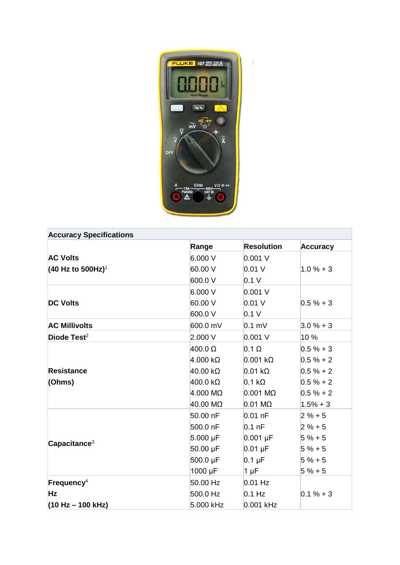

| <b>Accuracy Specifications</b> |                         |                         |                 |
|--------------------------------|-------------------------|-------------------------|-----------------|
|                                | Range                   | <b>Resolution</b>       | <b>Accuracy</b> |
| <b>AC Volts</b>                | 6.000 V                 | 0.001 V                 |                 |
| (40 Hz to 500Hz) <sup>1</sup>  | 60.00 V                 | $0.01$ V                | $1.0% + 3$      |
|                                | 600.0V                  | 0.1 V                   |                 |
|                                | 6.000 V                 | 0.001 V                 |                 |
| <b>DC Volts</b>                | 60.00 V                 | 0.01V                   | $0.5% + 3$      |
|                                | 600.0 V                 | 0.1 V                   |                 |
| <b>AC Millivolts</b>           | 600.0 mV                | $0.1$ mV                | $3.0% + 3$      |
| Diode Test $2$                 | 2.000 V                 | $0.001$ V               | 10 %            |
|                                | $400.0 \Omega$          | $0.1 \Omega$            | $0.5% + 3$      |
|                                | $4.000 \text{ k}\Omega$ | $0.001 \text{ k}\Omega$ | $0.5 \% + 2$    |
| <b>Resistance</b>              | $40.00 \text{ k}\Omega$ | $0.01 \text{ k}\Omega$  | $0.5 \% + 2$    |
| (Ohms)                         | $400.0\ \text{k}\Omega$ | $0.1 \text{ k}\Omega$   | $0.5 \% + 2$    |
|                                | $4.000 \text{ M}\Omega$ | $0.001$ M $\Omega$      | $0.5 \% + 2$    |
|                                | 40.00 MΩ                | $0.01 \text{ M}\Omega$  | $1.5% + 3$      |
|                                | 50.00 nF                | $0.01$ nF               | $2 \% + 5$      |
|                                | 500.0 nF                | $0.1$ nF                | $2 \% + 5$      |
| Capacitance <sup>3</sup>       | $5.000 \mu F$           | $0.001 \,\mu F$         | $5 \% + 5$      |
|                                | 50.00 µF                | $0.01 \mu F$            | $5 \% + 5$      |
|                                | 500.0 µF                | $0.1 \mu F$             | $5 \% + 5$      |
|                                | 1000 µF                 | $1 \mu F$               | $5 \% + 5$      |
| Frequency <sup>4</sup>         | 50.00 Hz                | $0.01$ Hz               |                 |
| <b>Hz</b>                      | 500.0 Hz                | $0.1$ Hz                | $0.1 \% + 3$    |
| $(10 Hz - 100 kHz)$            | 5.000 kHz               | 0.001 kHz               |                 |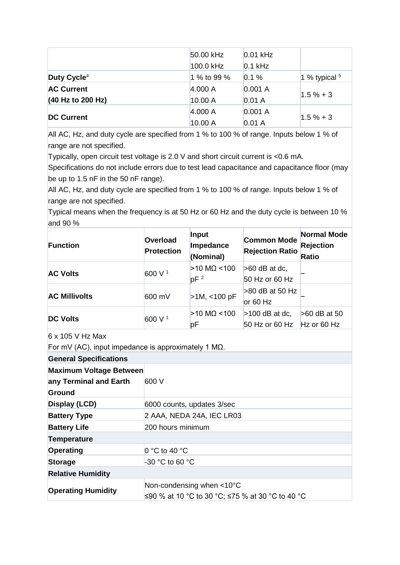|                         | 50.00 kHz   | $0.01$ kHz |                 |
|-------------------------|-------------|------------|-----------------|
|                         | 100.0 kHz   | $0.1$ kHz  |                 |
| Duty Cycle <sup>4</sup> | 1 % to 99 % | 0.1%       | 1 % typical $5$ |
| <b>AC Current</b>       | 4.000 A     | 0.001 A    |                 |
| (40 Hz to 200 Hz)       | 10.00 A     | 0.01A      | $1.5 \% + 3$    |
| <b>DC Current</b>       | 4.000 A     | 0.001 A    |                 |
|                         | 10.00 A     | 0.01A      | $1.5 \% + 3$    |

All AC, Hz, and duty cycle are specified from 1 % to 100 % of range. Inputs below 1 % of range are not specified.

Typically, open circuit test voltage is 2.0 V and short circuit current is <0.6 mA.

Specifications do not include errors due to test lead capacitance and capacitance floor (may be up to 1.5 nF in the 50 nF range).

All AC, Hz, and duty cycle are specified from 1 % to 100 % of range. Inputs below 1 % of range are not specified.

Typical means when the frequency is at 50 Hz or 60 Hz and the duty cycle is between 10 % and 90 %

| <b>Function</b>      | Overload<br><b>Protection</b> | Input<br>Impedance<br>(Nominal)  | <b>Common Mode</b><br><b>Rejection Ratio</b> | <b>Normal Mode</b><br><b>Rejection</b><br><b>Ratio</b> |
|----------------------|-------------------------------|----------------------------------|----------------------------------------------|--------------------------------------------------------|
| <b>AC Volts</b>      | 600 V <sup>1</sup>            | $>10$ MQ <100<br>pF <sup>2</sup> | $>60$ dB at dc,<br>50 Hz or 60 Hz            |                                                        |
| <b>AC Millivolts</b> | 600 mV                        | $>1M$ , <100 pF                  | $>80$ dB at 50 Hz<br>or $60$ Hz              |                                                        |
| <b>DC Volts</b>      | 600 V <sup>1</sup>            | $>10$ MQ <100<br>рF              | $>100$ dB at dc,<br>50 Hz or 60 Hz           | >60 dB at 50<br>Hz or 60 Hz                            |

6 x 105 V Hz Max

For mV (AC), input impedance is approximately 1 MΩ.

| <b>General Specifications</b>                            |                                                                                             |  |
|----------------------------------------------------------|---------------------------------------------------------------------------------------------|--|
| <b>Maximum Voltage Between</b><br>any Terminal and Earth | 600 V                                                                                       |  |
| Ground                                                   |                                                                                             |  |
| Display (LCD)                                            | 6000 counts, updates 3/sec                                                                  |  |
| <b>Battery Type</b>                                      | 2 AAA, NEDA 24A, IEC LR03                                                                   |  |
| <b>Battery Life</b>                                      | 200 hours minimum                                                                           |  |
| <b>Temperature</b>                                       |                                                                                             |  |
| Operating                                                | 0 °C to 40 °C                                                                               |  |
| <b>Storage</b>                                           | $-30$ °C to 60 °C                                                                           |  |
| <b>Relative Humidity</b>                                 |                                                                                             |  |
| <b>Operating Humidity</b>                                | Non-condensing when $<$ 10 $^{\circ}$ C<br>≤90 % at 10 °C to 30 °C; ≤75 % at 30 °C to 40 °C |  |